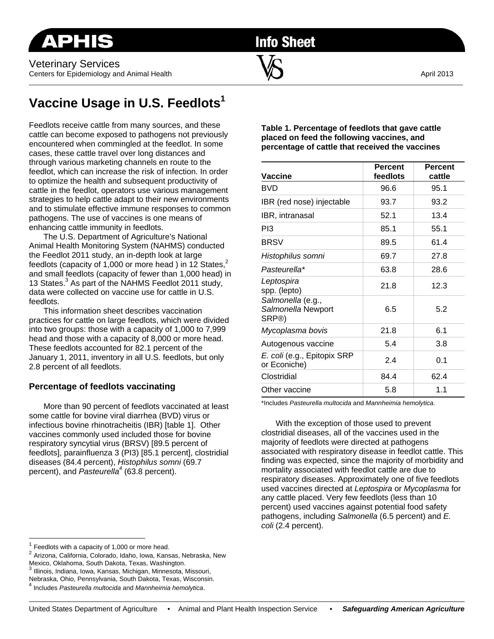**Info Sheet** 

 $\overline{\phantom{a}}$  , and the contribution of the contribution of  $\overline{\phantom{a}}$  , and  $\overline{\phantom{a}}$  , and  $\overline{\phantom{a}}$  , and  $\overline{\phantom{a}}$ 

# **Vaccine Usage in U.S. Feedlots<sup>1</sup>**

Feedlots receive cattle from many sources, and these cattle can become exposed to pathogens not previously encountered when commingled at the feedlot. In some cases, these cattle travel over long distances and through various marketing channels en route to the feedlot, which can increase the risk of infection. In order to optimize the health and subsequent productivity of cattle in the feedlot, operators use various management strategies to help cattle adapt to their new environments and to stimulate effective immune responses to common pathogens. The use of vaccines is one means of enhancing cattle immunity in feedlots.

The U.S. Department of Agriculture's National Animal Health Monitoring System (NAHMS) conducted the Feedlot 2011 study, an in-depth look at large feedlots (capacity of 1,000 or more head) in 12 States. $<sup>2</sup>$ </sup> and small feedlots (capacity of fewer than 1,000 head) in 13 States.<sup>3</sup> As part of the NAHMS Feedlot 2011 study, data were collected on vaccine use for cattle in U.S. feedlots.

This information sheet describes vaccination practices for cattle on large feedlots, which were divided into two groups: those with a capacity of 1,000 to 7,999 head and those with a capacity of 8,000 or more head. These feedlots accounted for 82.1 percent of the January 1, 2011, inventory in all U.S. feedlots, but only 2.8 percent of all feedlots.

## **Percentage of feedlots vaccinating**

More than 90 percent of feedlots vaccinated at least some cattle for bovine viral diarrhea (BVD) virus or infectious bovine rhinotracheitis (IBR) [table 1]. Other vaccines commonly used included those for bovine respiratory syncytial virus (BRSV) [89.5 percent of feedlots], parainfluenza 3 (PI3) [85.1 percent], clostridial diseases (84.4 percent), *Histophilus somni* (69.7 percent), and *Pasteurella4* (63.8 percent).

**Table 1. Percentage of feedlots that gave cattle placed on feed the following vaccines, and percentage of cattle that received the vaccines** 

| <b>Vaccine</b>                                   | <b>Percent</b><br>feedlots | <b>Percent</b><br>cattle |
|--------------------------------------------------|----------------------------|--------------------------|
| <b>BVD</b>                                       | 96.6                       | 95.1                     |
| IBR (red nose) injectable                        | 93.7                       | 93.2                     |
| IBR, intranasal                                  | 52.1                       | 13.4                     |
| P <sub>13</sub>                                  | 85.1                       | 55.1                     |
| <b>BRSV</b>                                      | 89.5                       | 61.4                     |
| Histophilus somni                                | 69.7                       | 27.8                     |
| Pasteurella*                                     | 63.8                       | 28.6                     |
| Leptospira<br>spp. (lepto)                       | 21.8                       | 12.3                     |
| Salmonella (e.g.,<br>Salmonella Newport<br>SRP®) | 6.5                        | 5.2                      |
| Mycoplasma bovis                                 | 21.8                       | 6.1                      |
| Autogenous vaccine                               | 5.4                        | 3.8                      |
| E. coli (e.g., Epitopix SRP<br>or Econiche)      | 2.4                        | 0.1                      |
| Clostridial                                      | 84.4                       | 62.4                     |
| Other vaccine                                    | 5.8                        | 1.1                      |

\*Includes *Pasteurella multocida* and *Mannheimia hemolytica.*

With the exception of those used to prevent clostridial diseases, all of the vaccines used in the majority of feedlots were directed at pathogens associated with respiratory disease in feedlot cattle. This finding was expected, since the majority of morbidity and mortality associated with feedlot cattle are due to respiratory diseases. Approximately one of five feedlots used vaccines directed at *Leptospira* or *Mycoplasma* for any cattle placed. Very few feedlots (less than 10 percent) used vaccines against potential food safety pathogens, including *Salmonella* (6.5 percent) and *E. coli* (2.4 percent).

 $\overline{a}$ 

<sup>3</sup> Illinois, Indiana, Iowa, Kansas, Michigan, Minnesota, Missouri,

Nebraska, Ohio, Pennsylvania, South Dakota, Texas, Wisconsin.

 $1$  Feedlots with a capacity of 1,000 or more head.<br> $2$  Arizona, California, Colorado, Idaho, Iowa, Kansas, Nebraska, New Mexico, Oklahoma, South Dakota, Texas, Washington.

<sup>4</sup> Includes *Pasteurella multocida* and *Mannheimia hemolytica*.